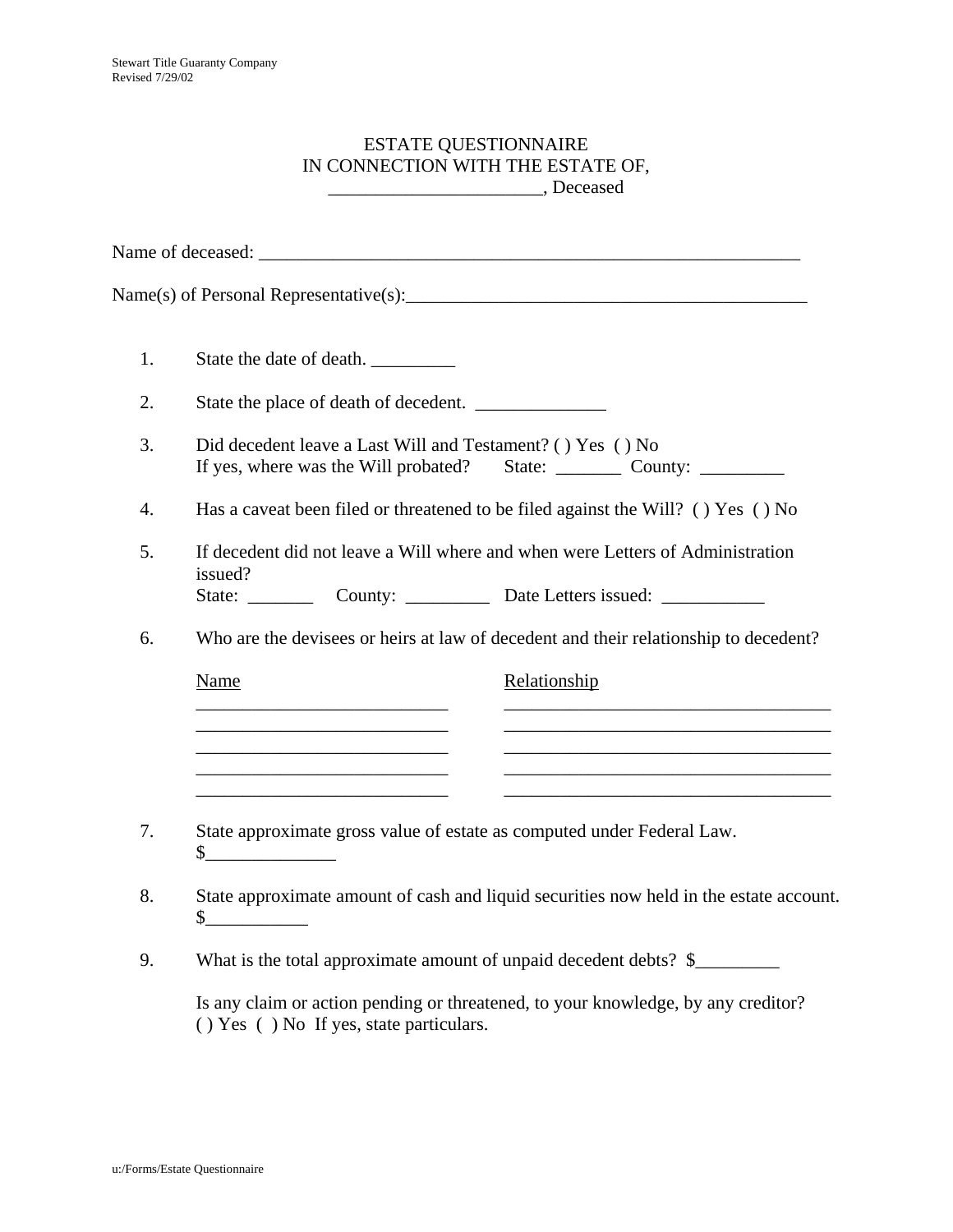## ESTATE QUESTIONNAIRE IN CONNECTION WITH THE ESTATE OF, \_\_\_\_\_\_\_\_\_\_\_\_\_\_\_\_\_\_\_\_\_\_\_, Deceased

| 1. | State the date of death.                                                                                                                               |                                                                                                                                                                                                                                              |
|----|--------------------------------------------------------------------------------------------------------------------------------------------------------|----------------------------------------------------------------------------------------------------------------------------------------------------------------------------------------------------------------------------------------------|
| 2. | State the place of death of decedent.                                                                                                                  |                                                                                                                                                                                                                                              |
| 3. | Did decedent leave a Last Will and Testament? () Yes () No<br>If yes, where was the Will probated?<br>State: $\_\_\_\_\_$ County: $\_\_\_\_\_\_\_\_\_$ |                                                                                                                                                                                                                                              |
| 4. | Has a caveat been filed or threatened to be filed against the Will? () Yes () No                                                                       |                                                                                                                                                                                                                                              |
| 5. | If decedent did not leave a Will where and when were Letters of Administration<br>issued?                                                              |                                                                                                                                                                                                                                              |
|    | State: $\frac{\ }{\ }$                                                                                                                                 | County: ___________ Date Letters issued: ____________                                                                                                                                                                                        |
| 6. | Who are the devisees or heirs at law of decedent and their relationship to decedent?                                                                   |                                                                                                                                                                                                                                              |
|    | <b>Name</b>                                                                                                                                            | Relationship                                                                                                                                                                                                                                 |
|    |                                                                                                                                                        |                                                                                                                                                                                                                                              |
|    | the control of the control of the control of the control of the control of the control of                                                              |                                                                                                                                                                                                                                              |
| 7. | State approximate gross value of estate as computed under Federal Law.<br>$\sim$                                                                       |                                                                                                                                                                                                                                              |
| 8. | State approximate amount of cash and liquid securities now held in the estate account.<br>$\frac{1}{2}$                                                |                                                                                                                                                                                                                                              |
| 9. | What is the total approximate amount of unpaid decedent debts? \$                                                                                      |                                                                                                                                                                                                                                              |
|    |                                                                                                                                                        | $\mathbf{r} = -\mathbf{r} + \mathbf{r}$ , and the set of the set of the set of the set of the set of the set of the set of the set of the set of the set of the set of the set of the set of the set of the set of the set of the set of the |

Is any claim or action pending or threatened, to your knowledge, by any creditor? ( ) Yes ( ) No If yes, state particulars.